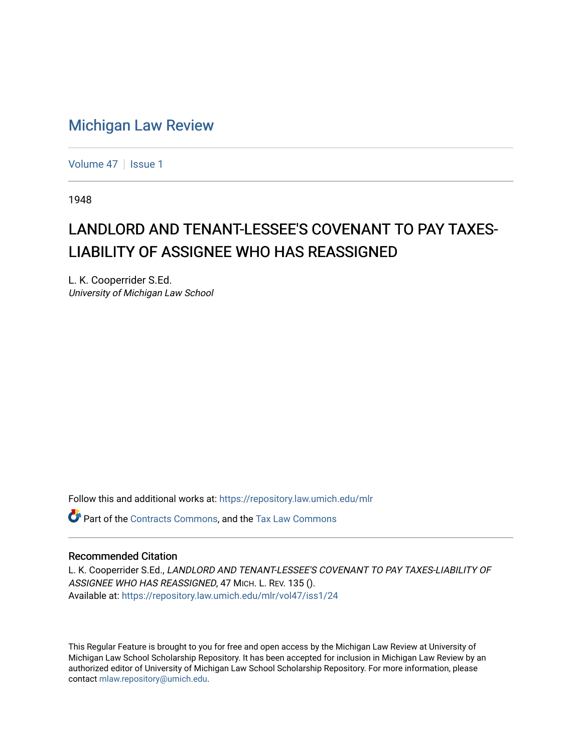## [Michigan Law Review](https://repository.law.umich.edu/mlr)

[Volume 47](https://repository.law.umich.edu/mlr/vol47) | [Issue 1](https://repository.law.umich.edu/mlr/vol47/iss1)

1948

## LANDLORD AND TENANT-LESSEE'S COVENANT TO PAY TAXES-LIABILITY OF ASSIGNEE WHO HAS REASSIGNED

L. K. Cooperrider S.Ed. University of Michigan Law School

Follow this and additional works at: [https://repository.law.umich.edu/mlr](https://repository.law.umich.edu/mlr?utm_source=repository.law.umich.edu%2Fmlr%2Fvol47%2Fiss1%2F24&utm_medium=PDF&utm_campaign=PDFCoverPages) 

Part of the [Contracts Commons](http://network.bepress.com/hgg/discipline/591?utm_source=repository.law.umich.edu%2Fmlr%2Fvol47%2Fiss1%2F24&utm_medium=PDF&utm_campaign=PDFCoverPages), and the [Tax Law Commons](http://network.bepress.com/hgg/discipline/898?utm_source=repository.law.umich.edu%2Fmlr%2Fvol47%2Fiss1%2F24&utm_medium=PDF&utm_campaign=PDFCoverPages)

## Recommended Citation

L. K. Cooperrider S.Ed., LANDLORD AND TENANT-LESSEE'S COVENANT TO PAY TAXES-LIABILITY OF ASSIGNEE WHO HAS REASSIGNED, 47 MICH. L. REV. 135 (). Available at: [https://repository.law.umich.edu/mlr/vol47/iss1/24](https://repository.law.umich.edu/mlr/vol47/iss1/24?utm_source=repository.law.umich.edu%2Fmlr%2Fvol47%2Fiss1%2F24&utm_medium=PDF&utm_campaign=PDFCoverPages) 

This Regular Feature is brought to you for free and open access by the Michigan Law Review at University of Michigan Law School Scholarship Repository. It has been accepted for inclusion in Michigan Law Review by an authorized editor of University of Michigan Law School Scholarship Repository. For more information, please contact [mlaw.repository@umich.edu](mailto:mlaw.repository@umich.edu).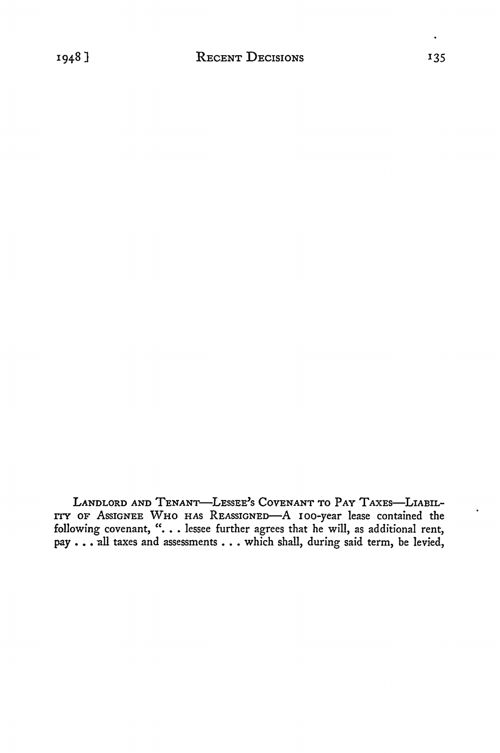LANDLORD AND TENANT-LESSEE'S COVENANT TO PAY TAXES-LIABIL-ITY OF ASSIGNEE WHO HAS REASSIGNED-A 100-year lease contained the following covenant, "... lessee further agrees that he will, as additional rent, pay . . . all taxes and assessments . . . which shall, during said term, be levied,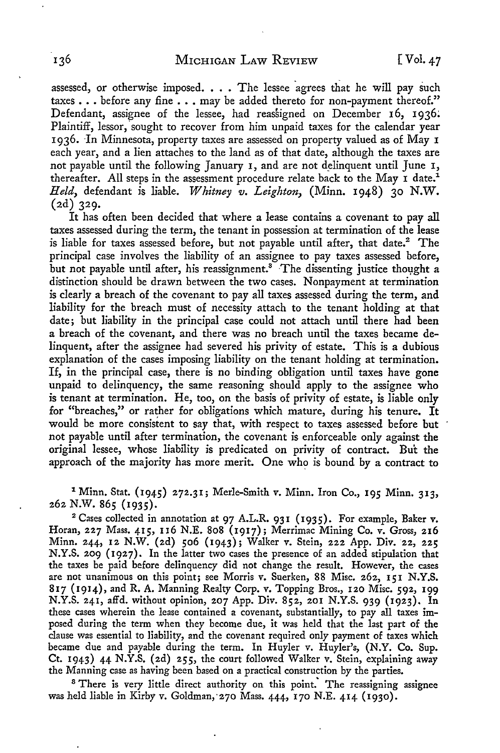assessed, or otherwise imposed. . . . The lessee agrees that he will pay such taxes . . . before any fine . . . may be added thereto for non-payment thereof." Defendant, assignee of the lessee, had reassigned on December 16, 1936; Plaintiff, lessor, sought to recover from him unpaid taxes for the calendar year 1936. In Minnesota, property taxes are assessed on property valued as of May 1 each year, and a lien attaches to the land as of that date, although the taxes are not payable until the following January 1, and are not delinquent until June 1, thereafter. All steps in the assessment procedure relate back to the May  $\texttt{1}$  date.<sup>1</sup> *Held,* defendant is liable. *Whitney v. Leighton,* (Minn. 1948) 30 N.W. (2d) 329.

It has often been decided that where a lease contains a covenant to pay all taxes assessed during the term, the tenant in possession at termination of the lease is liable for taxes assessed before, but not payable until after, that date.<sup>2</sup> The principal case involves the liability of an assignee to pay taxes assessed before, but not payable until after, his reassignment.<sup>3</sup> The dissenting justice thought a distinction should be drawn between the two cases. Nonpayment at termination is clearly a breach of the covenant to pay all taxes assessed during the term, and liability for the breach must of necessity attach to the tenant holding at that date; but liability in the principal case could not attach until there had been a breach of the covenant, and there was no breach until the taxes became delinquent, after the assignee had severed his privity of estate. This is a dubious explanation of the cases imposing liability on the tenant holding at termination. If, in the principal case, there is no binding obligation until taxes have gone unpaid to delinquency, the same reasoning should apply to the assignee who is tenant at termination. He, too, on the basis of privity of estate, is liable only for "breaches," or rather for obligations which mature, during his tenure. It would be more consistent to say that, with respect to taxes assessed before but not payable until after termination, the covenant is enforceable only against the original lessee, whose liability is predicated on privity of contract. But the approach of the majority has more merit. One who is bound by a contract to

<sup>1</sup> Minn. Stat. (1945) 272.31; Merle-Smith v. Minn. Iron Co., 195 Minn. 313, 262 N.W. 865 (1935).

<sup>2</sup> Cases collected in annotation at 97 A.L.R. 931 (1935). For example, Baker v. Horan, 227 Mass. 415, 116 N.E. 808 (1917); Merrimac Mining Co. v. Gross, 216 Minn. 244, 12 N.W. (2d) 506 (1943); Walker v. Stein, 222 App. Div. 22, 225 N.Y.S. 209 (1927). In the latter two cases the presence of an added stipulation that the taxes be paid before delinquency did not change the result. However, the cases are not unanimous on this point; see Morris v. Suerken, 88 Misc. 262, 151 N.Y.S. 817 (1914), and R. A. Manning Realty Corp. v. Topping Bros., 120 Misc. 592, 199 N.Y.S. 241, affd. without opinion, 207 App. Div. 852, 201 N.Y.S. 939 (1923). In these cases wherein the lease contained a covenant, substantially, to pay all taxes imposed during the term when they become due, it was held that the last part of the clause was essential to liability, and the covenant required only payment of taxes which became due and payable during the term. In Huyler v. Huyler's, (N.Y. Co. Sup. Ct. 1943) 44 N.Y.S. (2d) 255, the court followed Walker v. Stein, explaining away the Manning case as having been based on a practical construction by the parties.

<sup>8</sup> There is very little direct authority on this point. The reassigning assignee was held liable in Kirby v. Goldman,270 Mass. 444, 170 N.E. 414 (1930).